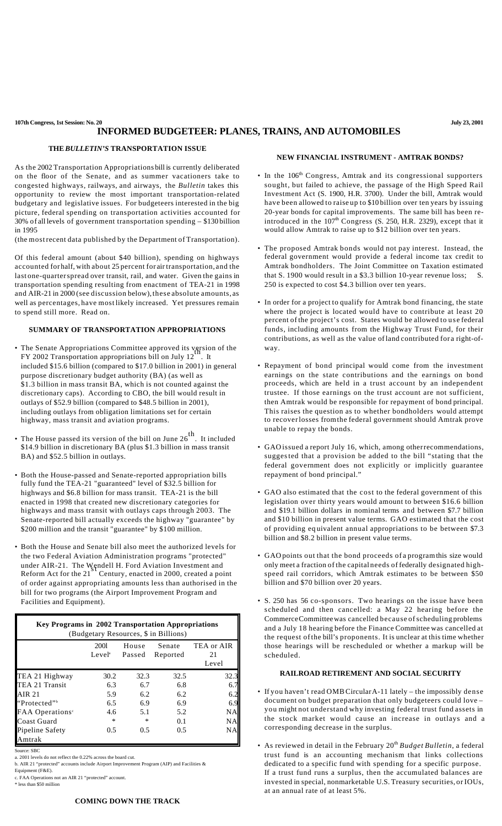**107th Congress, 1st Session: No. 20 July 23, 2001**

# **INFORMED BUDGETEER: PLANES, TRAINS, AND AUTOMOBILES**

### **THE** *BULLETIN'S* **TRANSPORTATION ISSUE**

As the 2002 Transportation Appropriations bill is currently deliberated on the floor of the Senate, and as summer vacationers take to congested highways, railways, and airways, the *Bulletin* takes this opportunity to review the most important transportation-related budgetary and legislative issues. For budgeteers interested in the big picture, federal spending on transportation activities accounted for 30% of all levels of government transportation spending – \$130 billion in 1995

(the mostrecent data published by the Department of Transportation).

Of this federal amount (about \$40 billion), spending on highways accounted for half, with about 25 percent for air transportation, and the last one-quarterspread over transit, rail, and water. Given the gains in transportation spending resulting from enactment of TEA-21 in 1998 and AIR-21 in 2000 (see discussion below),these absolute amounts, as well as percentages, have most likely increased. Yet pressures remain to spend still more. Read on.

## **SUMMARY OF TRANSPORTATION APPROPRIATIONS**

- The Senate Appropriations Committee approved its version of the FY 2002 Transportation appropriations bill on July  $12^{\text{th}}$ . It included \$15.6 billion (compared to \$17.0 billion in 2001) in general purpose discretionary budget authority (BA) (as well as \$1.3 billion in mass transit BA, which is not counted against the discretionary caps). According to CBO, the bill would result in outlays of \$52.9 billion (compared to \$48.5 billion in 2001), including outlays from obligation limitations set for certain highway, mass transit and aviation programs.
- The House passed its version of the bill on June  $26<sup>th</sup>$ . It included \$14.9 billion in discretionary BA (plus \$1.3 billion in mass transit BA) and \$52.5 billion in outlays.
- Both the House-passed and Senate-reported appropriation bills fully fund the TEA-21 "guaranteed" level of \$32.5 billion for highways and \$6.8 billion for mass transit. TEA-21 is the bill enacted in 1998 that created new discretionary categories for highways and mass transit with outlays caps through 2003. The Senate-reported bill actually exceeds the highway "guarantee" by \$200 million and the transit "guarantee" by \$100 million.
- Both the House and Senate bill also meet the authorized levels for the two Federal Aviation Administration programs "protected" under AIR-21. The Wendell H. Ford Aviation Investment and Reform Act for the 21<sup>81</sup> Century, enacted in 2000, created a poi Century, enacted in 2000, created a point of order against appropriating amounts less than authorised in the bill for two programs (the Airport Improvement Program and Facilities and Equipment).

| Key Programs in 2002 Transportation Appropriations<br>(Budgetary Resources, \$ in Billions) |                            |                 |                    |                           |
|---------------------------------------------------------------------------------------------|----------------------------|-----------------|--------------------|---------------------------|
|                                                                                             | 2001<br>Level <sup>a</sup> | House<br>Passed | Senate<br>Reported | TEA or AIR<br>21<br>Level |
| TEA 21 Highway                                                                              | 30.2                       | 32.3            | 32.5               | 32.3                      |
| TEA 21 Transit                                                                              | 6.3                        | 6.7             | 6.8                | 6.7                       |
| AIR 21                                                                                      | 5.9                        | 6.2             | 6.2                | 6.2                       |
| "Protected"                                                                                 | 6.5                        | 6.9             | 6.9                | 6.9                       |
| FAA Operations <sup>c</sup>                                                                 | 4.6                        | 5.1             | 5.2                | NA                        |
| Coast Guard                                                                                 | $\ast$                     | *               | 0.1                | NΑ                        |
| Pipeline Safety<br>Amtrak                                                                   | 0.5                        | 0.5             | 0.5                | NA                        |

Source: SBC

a. 2001 levels do not reflect the 0.22% across the board cut.

b. AIR 21 "protected" accounts include Airport Improvement Program (AIP) and Facilities &

Equipment (F&E). c. FAA Operations not an AIR 21 "protected" account.

\* less than \$50 million

#### **NEW FINANCIAL INSTRUMENT - AMTRAK BONDS?**

- In the 106<sup>th</sup> Congress, Amtrak and its congressional supporters sought, but failed to achieve, the passage of the High Speed Rail Investment Act (S. 1900, H.R. 3700). Under the bill, Amtrak would have been allowed to raise up to \$10 billion over ten years by issuing 20-year bonds for capital improvements. The same bill has been reintroduced in the  $107<sup>th</sup>$  Congress (S. 250, H.R. 2329), except that it would allow Amtrak to raise up to \$12 billion over ten years.
- The proposed Amtrak bonds would not pay interest. Instead, the federal government would provide a federal income tax credit to Amtrak bondholders. The Joint Committee on Taxation estimated that S. 1900 would result in a \$3.3 billion 10-year revenue loss; 250 is expected to cost \$4.3 billion over ten years.
- In order for a project to qualify for Amtrak bond financing, the state where the project is located would have to contribute at least 20 percent of the project's cost. States would be allowed to use federal funds, including amounts from the Highway Trust Fund, for their contributions, as well as the value ofland contributed for a right-ofway.
- Repayment of bond principal would come from the investment earnings on the state contributions and the earnings on bond proceeds, which are held in a trust account by an independent trustee. If those earnings on the trust account are not sufficient, then Amtrak would be responsible for repayment of bond principal. This raises the question as to whether bondholders would attempt to recoverlosses fromthe federal government should Amtrak prove unable to repay the bonds.
- GAOissued a report July 16, which, among otherrecommendations, suggested that a provision be added to the bill "stating that the federal government does not explicitly or implicitly guarantee repayment of bond principal."
- GAO also estimated that the cost to the federal government of this legislation over thirty years would amount to between \$16.6 billion and \$19.1 billion dollars in nominal terms and between \$7.7 billion and \$10 billion in present value terms. GAO estimated that the cost of providing eq uivalent annual appropriations to be between \$7.3 billion and \$8.2 billion in present value terms.
- GAOpoints out that the bond proceeds of a programthis size would only meet a fraction of the capital needs of federally designated highspeed rail corridors, which Amtrak estimates to be between \$50 billion and \$70 billion over 20 years.
- S. 250 has 56 co-sponsors. Two hearings on the issue have been scheduled and then cancelled: a May 22 hearing before the CommerceCommitteewas cancelled because ofscheduling problems and a July 18 hearing before the Finance Committee was cancelled at the request ofthe bill's proponents. It is unclear at this time whether those hearings will be rescheduled or whether a markup will be scheduled.

## **RAILROAD RETIREMENT AND SOCIAL SECURITY**

- If you haven't read OMBCircularA-11 lately the impossibly dense document on budget preparation that only budgeteers could love – you might not understand why investing federal trust fund assets in the stock market would cause an increase in outlays and a corresponding decrease in the surplus.
- As reviewed in detail in the February  $20<sup>th</sup>$  *Budget Bulletin*, a federal trust fund is an accounting mechanism that links collections dedicated to a specific fund with spending for a specific purpose. If a trust fund runs a surplus, then the accumulated balances are invested in special, nonmarketable U.S. Treasury securities, or IOUs, at an annual rate of at least 5%.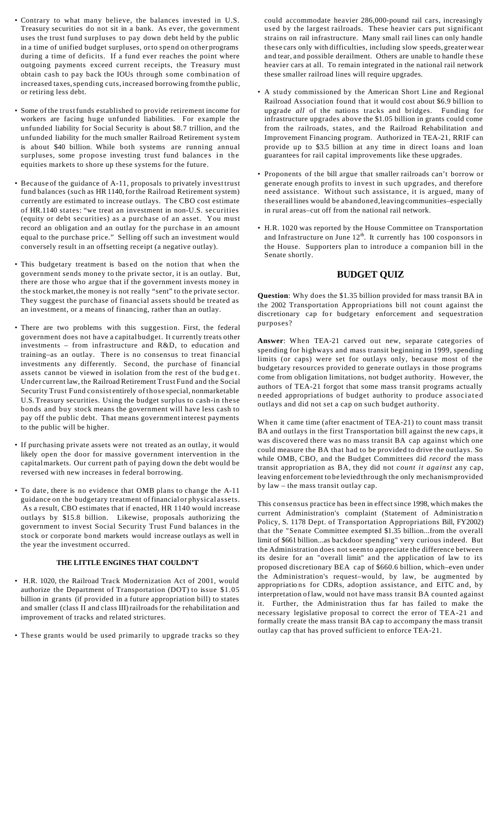- Contrary to what many believe, the balances invested in U.S. Treasury securities do not sit in a bank. As ever, the government uses the trust fund surpluses to pay down debt held by the public in a time of unified budget surpluses, orto spend on other programs during a time of deficits. If a fund ever reaches the point where outgoing payments exceed current receipts, the Treasury must obtain cash to pay back the IOUs through some combination of increased taxes,spending cuts, increased borrowing fromthe public, or retiring less debt.
- Some of the trustfunds established to provide retirement income for workers are facing huge unfunded liabilities. For example the unfunded liability for Social Security is about \$8.7 trillion, and the unfunded liability for the much smaller Railroad Retirement system is about \$40 billion. While both systems are running annual surpluses, some propose investing trust fund balances in the equities markets to shore up these systems for the future.
- Because of the guidance of A-11, proposals to privately invest trust fund balances (such as HR 1140, forthe Railroad Retirement system) currently are estimated to increase outlays. The CBO cost estimate of HR.1140 states: "we treat an investment in non-U.S. securities (equity or debt securities) as a purchase of an asset. You must record an obligation and an outlay for the purchase in an amount equal to the purchase price." Selling off such an investment would conversely result in an offsetting receipt (a negative outlay).
- This budgetary treatment is bas ed on the notion that when the government sends money to the private sector, it is an outlay. But, there are those who argue that if the government invests money in the stock market, the money is not really "sent" to the private sector. They suggest the purchase of financial assets should be treated as an investment, or a means of financing, rather than an outlay.
- There are two problems with this suggestion. First, the federal government does not have a capital budget. It currently treats other investments – from infrastructure and R&D, to education and training–as an outlay. There is no consensus to treat financial investments any differently. Second, the purchase of financial assets cannot be viewed in isolation from the rest of the budget. Under current law, the Railroad Retirement Trust Fund and the Social Security Trust Fund consist entirely of those special, nonmarketable U.S. Treasury securities. Using the budget surplus to cash-in these bonds and buy stock means the government will have less cash to pay off the public debt. That means government interest payments to the public will be higher.
- If purchasing private assets were not treated as an outlay, it would likely open the door for massive government intervention in the capitalmarkets. Our current path of paying down the debt would be reversed with new increases in federal borrowing.
- To date, there is no evidence that OMB plans to change the A-11 guidance on the budgetary treatment offinancialor physical assets. As a result, CBO estimates that if enacted, HR 1140 would increase outlays by \$15.8 billion. Likewise, proposals authorizing the government to invest Social Security Trust Fund balances in the stock or corporate bond markets would increase outlays as well in the year the investment occurred.

## **THE LITTLE ENGINES THAT COULDN'T**

- H.R. 1020, the Railroad Track Modernization Act of 2001, would authorize the Department of Transportation (DOT) to issue \$1.05 billion in grants (if provided in a future appropriation bill) to states and smaller (class II and class III) railroads for the rehabilitation and improvement of tracks and related strictures.
- These grants would be used primarily to upgrade tracks so they

could accommodate heavier 286,000-pound rail cars, increasingly used by the largest railroads. These heavier cars put significant strains on rail infrastructure. Many small rail lines can only handle these cars only with difficulties, including slow speeds, greaterwear and tear, and possible derailment. Others are unable to handle these heavier cars at all. To remain integrated in the national rail network these smaller railroad lines will require upgrades.

- A study commissioned by the American Short Line and Regional Railroad Association found that it would cost about \$6.9 billion to upgrade *all* of the nations tracks and bridges. Funding for infrastructure upgrades above the \$1.05 billion in grants could come from the railroads, states, and the Railroad Rehabilitation and Improvement Financing program. Authorized in TEA-21, RRIF can provide up to \$3.5 billion at any time in direct loans and loan guarantees for rail capital improvements like these upgrades.
- Proponents of the bill argue that smaller railroads can't borrow or generate enough profits to invest in such upgrades, and therefore need assistance. Without such assistance, it is argued, many of theserail lines would be abandoned,leaving communities–especially in rural areas–cut off from the national rail network.
- H.R. 1020 was reported by the House Committee on Transportation and Infrastructure on June  $12<sup>th</sup>$ . It currently has 100 cosponsors in the House. Supporters plan to introduce a companion bill in the Senate shortly.

## **BUDGET QUIZ**

**Question**: Why does the \$1.35 billion provided for mass transit BA in the 2002 Transportation Appropriations bill not count against the discretionary cap for budgetary enforcement and sequestration purposes?

**Answer**: When TEA-21 carved out new, separate categories of spending for highways and mass transit beginning in 1999, spending limits (or caps) were set for outlays only, because most of the budgetary resources provided to generate outlays in those programs come from obligation limitations, not budget authority. However, the authors of TEA-21 forgot that some mass transit programs actually n eeded appropriations of budget authority to produce associated outlays and did not set a cap on such budget authority.

When it came time (after enactment of TEA-21) to count mass transit BA and outlays in the first Transportation bill against the new caps, it was discovered there was no mass transit BA cap against which one could measure the BA that had to be provided to drive the outlays. So while OMB, CBO, and the Budget Committees did *record* the mass transit appropriation as BA, they did not *count it against* any cap, leaving enforcement to be leviedthrough the only mechanismprovided by law – the mass transit outlay cap.

This consensus practice has been in effect since 1998, which makes the current Administration's complaint (Statement of Administratio n Policy, S. 1178 Dept. of Transportation Appropriations Bill, FY2002) that the "Senate Committee exempted \$1.35 billion...from the overall limit of \$661 billion...as backdoor spending" very curious indeed. But the Administration does not seemto appreciate the difference between its desire for an "overall limit" and the application of law to its proposed discretionary BEA cap of \$660.6 billion, which–even under the Administration's request–would, by law, be augmented by appropriatio ns for CDRs, adoption assistance, and EITC and, by interpretation of law, would not have mass transit BA counted against it. Further, the Administration thus far has failed to make the necessary legislative proposal to correct the error of TEA-21 and formally create the mass transit BA cap to accompany the mass transit outlay cap that has proved sufficient to enforce TEA-21.